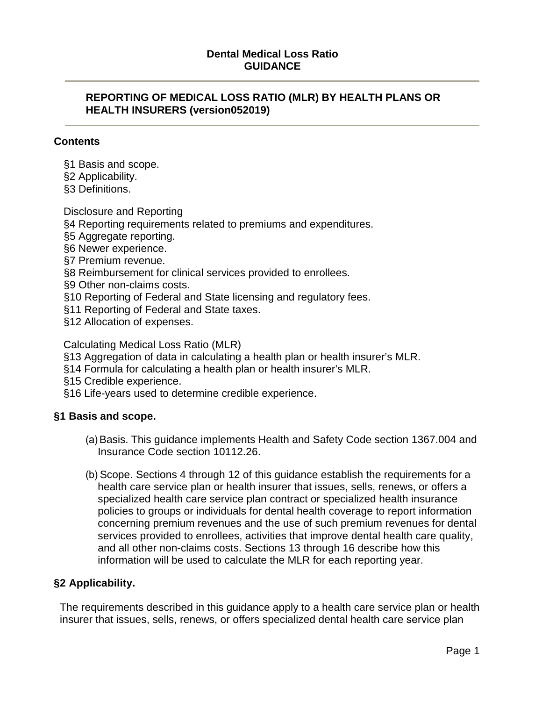# **Dental Medical Loss Ratio GUIDANCE**

### **REPORTING OF MEDICAL LOSS RATIO (MLR) BY HEALTH PLANS OR HEALTH INSURERS (version052019)**

#### **Contents**

- §1 Basis and scope.
- §2 Applicability.
- §3 Definitions.

Disclosure and Reporting

- §4 Reporting requirements related to premiums and expenditures.
- §5 Aggregate reporting.
- §6 Newer experience.
- §7 Premium revenue.
- §8 Reimbursement for clinical services provided to enrollees.
- §9 Other non-claims costs.
- §10 Reporting of Federal and State licensing and regulatory fees.
- §11 Reporting of Federal and State taxes.
- §12 Allocation of expenses.

Calculating Medical Loss Ratio (MLR)

- §13 Aggregation of data in calculating a health plan or health insurer's MLR.
- §14 Formula for calculating a health plan or health insurer's MLR.
- §15 Credible experience.
- §16 Life-years used to determine credible experience.

# **§1 Basis and scope.**

- (a)Basis. This guidance implements Health and Safety Code section 1367.004 and Insurance Code section 10112.26.
- (b) Scope. Sections 4 through 12 of this guidance establish the requirements for a health care service plan or health insurer that issues, sells, renews, or offers a specialized health care service plan contract or specialized health insurance policies to groups or individuals for dental health coverage to report information concerning premium revenues and the use of such premium revenues for dental services provided to enrollees, activities that improve dental health care quality, and all other non-claims costs. Sections 13 through 16 describe how this information will be used to calculate the MLR for each reporting year.

# **§2 Applicability.**

The requirements described in this guidance apply to a health care service plan or health insurer that issues, sells, renews, or offers specialized dental health care service plan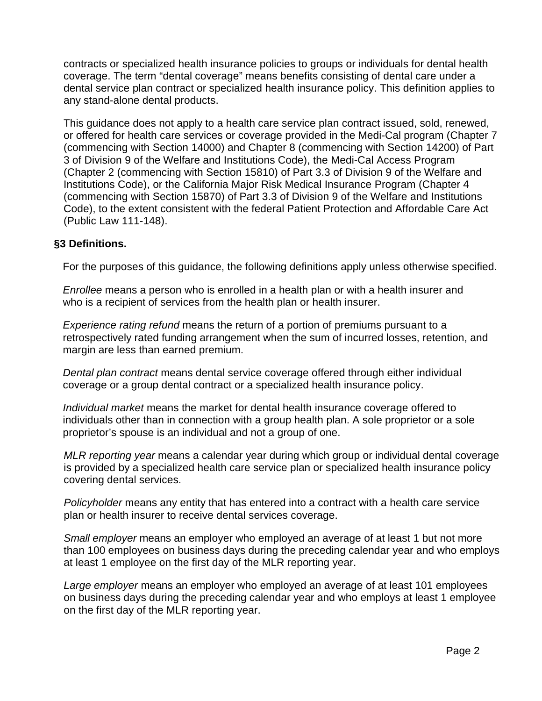contracts or specialized health insurance policies to groups or individuals for dental health coverage. The term "dental coverage" means benefits consisting of dental care under a dental service plan contract or specialized health insurance policy. This definition applies to any stand-alone dental products.

This guidance does not apply to a health care service plan contract issued, sold, renewed, or offered for health care services or coverage provided in the Medi-Cal program (Chapter 7 (commencing with Section 14000) and Chapter 8 (commencing with Section 14200) of Part 3 of Division 9 of the Welfare and Institutions Code), the Medi-Cal Access Program (Chapter 2 (commencing with Section 15810) of Part 3.3 of Division 9 of the Welfare and Institutions Code), or the California Major Risk Medical Insurance Program (Chapter 4 (commencing with Section 15870) of Part 3.3 of Division 9 of the Welfare and Institutions Code), to the extent consistent with the federal Patient Protection and Affordable Care Act (Public Law 111-148).

# **§3 Definitions.**

For the purposes of this guidance, the following definitions apply unless otherwise specified.

*Enrollee* means a person who is enrolled in a health plan or with a health insurer and who is a recipient of services from the health plan or health insurer.

*Experience rating refund* means the return of a portion of premiums pursuant to a retrospectively rated funding arrangement when the sum of incurred losses, retention, and margin are less than earned premium.

*Dental plan contract* means dental service coverage offered through either individual coverage or a group dental contract or a specialized health insurance policy.

*Individual market* means the market for dental health insurance coverage offered to individuals other than in connection with a group health plan. A sole proprietor or a sole proprietor's spouse is an individual and not a group of one.

*MLR reporting year* means a calendar year during which group or individual dental coverage is provided by a specialized health care service plan or specialized health insurance policy covering dental services.

*Policyholder* means any entity that has entered into a contract with a health care service plan or health insurer to receive dental services coverage.

*Small employer* means an employer who employed an average of at least 1 but not more than 100 employees on business days during the preceding calendar year and who employs at least 1 employee on the first day of the MLR reporting year.

*Large employer* means an employer who employed an average of at least 101 employees on business days during the preceding calendar year and who employs at least 1 employee on the first day of the MLR reporting year.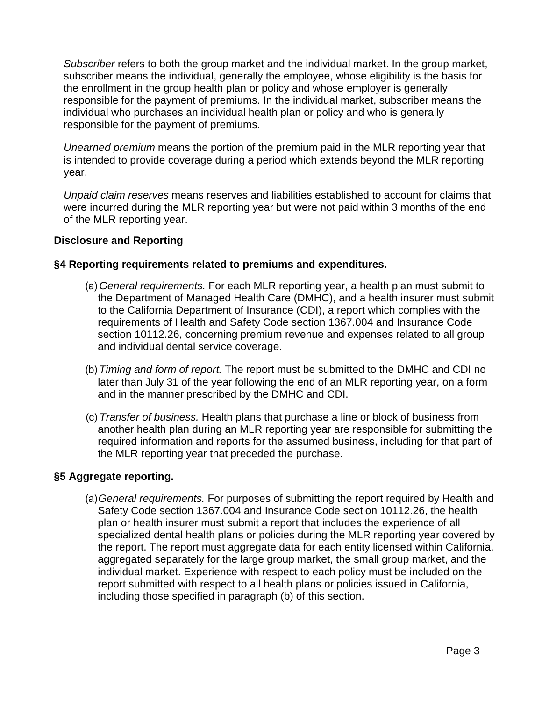*Subscriber* refers to both the group market and the individual market. In the group market, subscriber means the individual, generally the employee, whose eligibility is the basis for the enrollment in the group health plan or policy and whose employer is generally responsible for the payment of premiums. In the individual market, subscriber means the individual who purchases an individual health plan or policy and who is generally responsible for the payment of premiums.

*Unearned premium* means the portion of the premium paid in the MLR reporting year that is intended to provide coverage during a period which extends beyond the MLR reporting year.

*Unpaid claim reserves* means reserves and liabilities established to account for claims that were incurred during the MLR reporting year but were not paid within 3 months of the end of the MLR reporting year.

# **Disclosure and Reporting**

# **§4 Reporting requirements related to premiums and expenditures.**

- (a) *General requirements.* For each MLR reporting year, a health plan must submit to the Department of Managed Health Care (DMHC), and a health insurer must submit to the California Department of Insurance (CDI), a report which complies with the requirements of Health and Safety Code section 1367.004 and Insurance Code section 10112.26, concerning premium revenue and expenses related to all group and individual dental service coverage.
- (b) *Timing and form of report.* The report must be submitted to the DMHC and CDI no later than July 31 of the year following the end of an MLR reporting year, on a form and in the manner prescribed by the DMHC and CDI.
- required information and reports for the assumed business, including for that part of (c) *Transfer of business.* Health plans that purchase a line or block of business from another health plan during an MLR reporting year are responsible for submitting the the MLR reporting year that preceded the purchase.

# **§5 Aggregate reporting.**

(a)*General requirements.* For purposes of submitting the report required by Health and Safety Code section 1367.004 and Insurance Code section 10112.26, the health plan or health insurer must submit a report that includes the experience of all specialized dental health plans or policies during the MLR reporting year covered by the report. The report must aggregate data for each entity licensed within California, aggregated separately for the large group market, the small group market, and the individual market. Experience with respect to each policy must be included on the report submitted with respect to all health plans or policies issued in California, including those specified in paragraph (b) of this section.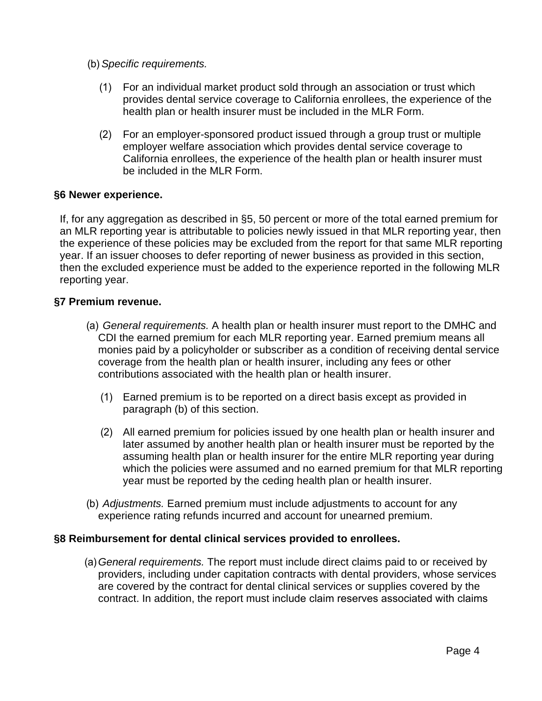- (b) *Specific requirements.* 
	- (1) For an individual market product sold through an association or trust which provides dental service coverage to California enrollees, the experience of the health plan or health insurer must be included in the MLR Form.
	- (2) For an employer-sponsored product issued through a group trust or multiple employer welfare association which provides dental service coverage to California enrollees, the experience of the health plan or health insurer must be included in the MLR Form.

### **§6 Newer experience.**

If, for any aggregation as described in §5, 50 percent or more of the total earned premium for an MLR reporting year is attributable to policies newly issued in that MLR reporting year, then the experience of these policies may be excluded from the report for that same MLR reporting year. If an issuer chooses to defer reporting of newer business as provided in this section, then the excluded experience must be added to the experience reported in the following MLR reporting year.

### **§7 Premium revenue.**

- monies paid by a policyholder or subscriber as a condition of receiving dental service (a) *General requirements.* A health plan or health insurer must report to the DMHC and CDI the earned premium for each MLR reporting year. Earned premium means all coverage from the health plan or health insurer, including any fees or other contributions associated with the health plan or health insurer.
	- (1) Earned premium is to be reported on a direct basis except as provided in paragraph (b) of this section.
	- (2) All earned premium for policies issued by one health plan or health insurer and later assumed by another health plan or health insurer must be reported by the assuming health plan or health insurer for the entire MLR reporting year during which the policies were assumed and no earned premium for that MLR reporting year must be reported by the ceding health plan or health insurer.
- (b) *Adjustments.* Earned premium must include adjustments to account for any experience rating refunds incurred and account for unearned premium.

#### **§8 Reimbursement for dental clinical services provided to enrollees.**

 contract. In addition, the report must include claim reserves associated with claims (a)*General requirements.* The report must include direct claims paid to or received by providers, including under capitation contracts with dental providers, whose services are covered by the contract for dental clinical services or supplies covered by the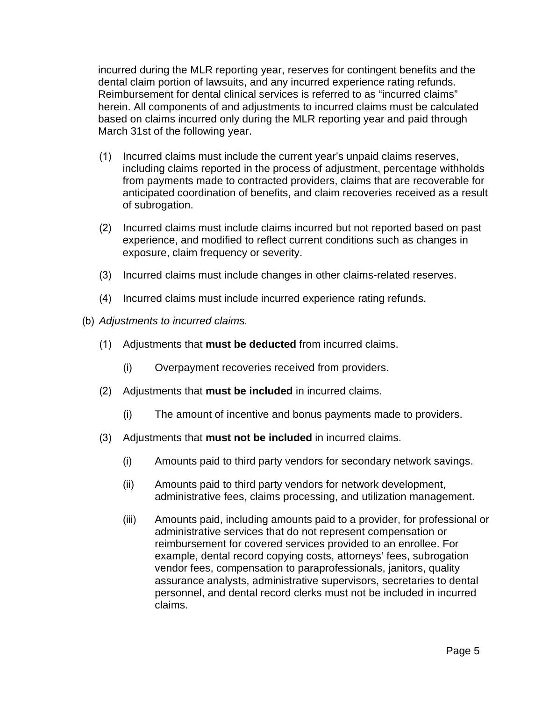incurred during the MLR reporting year, reserves for contingent benefits and the dental claim portion of lawsuits, and any incurred experience rating refunds. Reimbursement for dental clinical services is referred to as "incurred claims" herein. All components of and adjustments to incurred claims must be calculated based on claims incurred only during the MLR reporting year and paid through March 31st of the following year.

- (1) Incurred claims must include the current year's unpaid claims reserves, including claims reported in the process of adjustment, percentage withholds from payments made to contracted providers, claims that are recoverable for anticipated coordination of benefits, and claim recoveries received as a result of subrogation.
- (2) Incurred claims must include claims incurred but not reported based on past experience, and modified to reflect current conditions such as changes in exposure, claim frequency or severity.
- (3) Incurred claims must include changes in other claims-related reserves.
- (4) Incurred claims must include incurred experience rating refunds.
- (b) *Adjustments to incurred claims.* 
	- (1) Adjustments that **must be deducted** from incurred claims.
		- (i) Overpayment recoveries received from providers.
	- (2) Adjustments that **must be included** in incurred claims.
		- (i) The amount of incentive and bonus payments made to providers.
	- (3) Adjustments that **must not be included** in incurred claims.
		- (i) Amounts paid to third party vendors for secondary network savings.
		- (ii) Amounts paid to third party vendors for network development, administrative fees, claims processing, and utilization management.
		- (iii) Amounts paid, including amounts paid to a provider, for professional or administrative services that do not represent compensation or reimbursement for covered services provided to an enrollee. For example, dental record copying costs, attorneys' fees, subrogation vendor fees, compensation to paraprofessionals, janitors, quality assurance analysts, administrative supervisors, secretaries to dental personnel, and dental record clerks must not be included in incurred claims.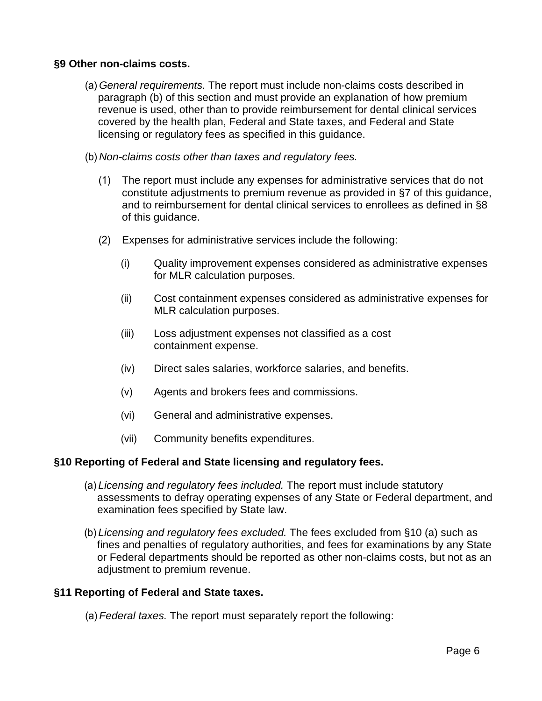### **§9 Other non-claims costs.**

- (a) *General requirements.* The report must include non-claims costs described in paragraph (b) of this section and must provide an explanation of how premium revenue is used, other than to provide reimbursement for dental clinical services covered by the health plan, Federal and State taxes, and Federal and State licensing or regulatory fees as specified in this guidance.
- (b) *Non-claims costs other than taxes and regulatory fees.* 
	- (1) The report must include any expenses for administrative services that do not constitute adjustments to premium revenue as provided in §7 of this guidance, and to reimbursement for dental clinical services to enrollees as defined in §8 of this guidance.
	- (2) Expenses for administrative services include the following:
		- (i) Quality improvement expenses considered as administrative expenses for MLR calculation purposes.
		- (ii) Cost containment expenses considered as administrative expenses for MLR calculation purposes.
		- (iii) Loss adjustment expenses not classified as a cost containment expense.
		- (iv) Direct sales salaries, workforce salaries, and benefits.
		- (v) Agents and brokers fees and commissions.
		- (vi) General and administrative expenses.
		- (vii) Community benefits expenditures.

#### **§10 Reporting of Federal and State licensing and regulatory fees.**

- (a) *Licensing and regulatory fees included.* The report must include statutory assessments to defray operating expenses of any State or Federal department, and examination fees specified by State law.
- or Federal departments should be reported as other non-claims costs, but not as an (b) *Licensing and regulatory fees excluded.* The fees excluded from §10 (a) such as fines and penalties of regulatory authorities, and fees for examinations by any State adjustment to premium revenue.

# **§11 Reporting of Federal and State taxes.**

(a) *Federal taxes.* The report must separately report the following: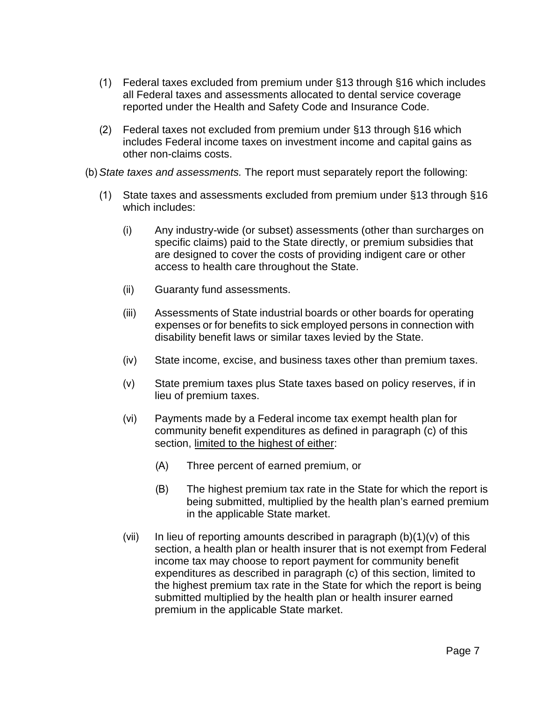- (1) Federal taxes excluded from premium under §13 through §16 which includes all Federal taxes and assessments allocated to dental service coverage reported under the Health and Safety Code and Insurance Code.
- (2) Federal taxes not excluded from premium under §13 through §16 which includes Federal income taxes on investment income and capital gains as other non-claims costs.
- (b) *State taxes and assessments.* The report must separately report the following:
	- (1) State taxes and assessments excluded from premium under §13 through §16 which includes:
		- (i) Any industry-wide (or subset) assessments (other than surcharges on specific claims) paid to the State directly, or premium subsidies that are designed to cover the costs of providing indigent care or other access to health care throughout the State.
		- (ii) Guaranty fund assessments.
		- (iii) Assessments of State industrial boards or other boards for operating expenses or for benefits to sick employed persons in connection with disability benefit laws or similar taxes levied by the State.
		- (iv) State income, excise, and business taxes other than premium taxes.
		- (v) State premium taxes plus State taxes based on policy reserves, if in lieu of premium taxes.
		- (vi) Payments made by a Federal income tax exempt health plan for community benefit expenditures as defined in paragraph (c) of this section, limited to the highest of either:
			- (A) Three percent of earned premium, or
			- (B) The highest premium tax rate in the State for which the report is being submitted, multiplied by the health plan's earned premium in the applicable State market.
		- (vii) In lieu of reporting amounts described in paragraph  $(b)(1)(v)$  of this section, a health plan or health insurer that is not exempt from Federal income tax may choose to report payment for community benefit expenditures as described in paragraph (c) of this section, limited to the highest premium tax rate in the State for which the report is being submitted multiplied by the health plan or health insurer earned premium in the applicable State market.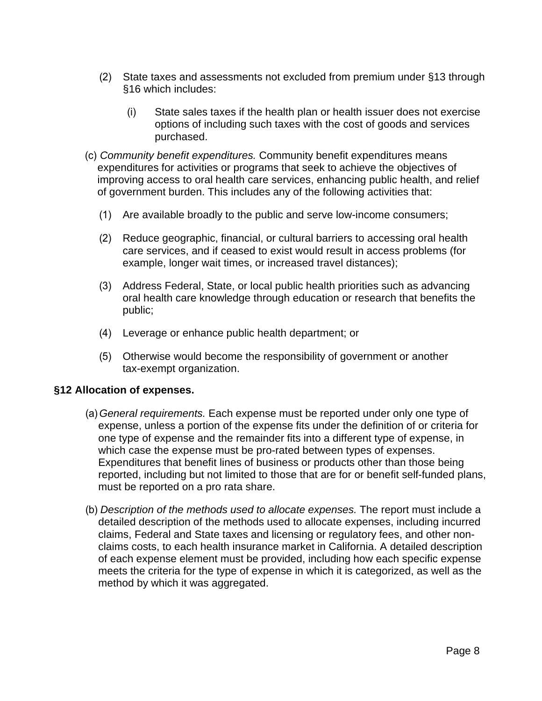- (2) State taxes and assessments not excluded from premium under §13 through §16 which includes:
	- (i) State sales taxes if the health plan or health issuer does not exercise options of including such taxes with the cost of goods and services purchased.
- (c) *Community benefit expenditures.* Community benefit expenditures means expenditures for activities or programs that seek to achieve the objectives of improving access to oral health care services, enhancing public health, and relief of government burden. This includes any of the following activities that:
	- (1) Are available broadly to the public and serve low-income consumers;
	- (2) Reduce geographic, financial, or cultural barriers to accessing oral health care services, and if ceased to exist would result in access problems (for example, longer wait times, or increased travel distances);
	- (3) Address Federal, State, or local public health priorities such as advancing oral health care knowledge through education or research that benefits the public;
	- (4) Leverage or enhance public health department; or
	- (5) Otherwise would become the responsibility of government or another tax-exempt organization.

# **§12 Allocation of expenses.**

- (a) *General requirements.* Each expense must be reported under only one type of expense, unless a portion of the expense fits under the definition of or criteria for one type of expense and the remainder fits into a different type of expense, in which case the expense must be pro-rated between types of expenses. Expenditures that benefit lines of business or products other than those being reported, including but not limited to those that are for or benefit self-funded plans, must be reported on a pro rata share.
- (b) *Description of the methods used to allocate expenses.* The report must include a detailed description of the methods used to allocate expenses, including incurred claims, Federal and State taxes and licensing or regulatory fees, and other nonclaims costs, to each health insurance market in California. A detailed description of each expense element must be provided, including how each specific expense meets the criteria for the type of expense in which it is categorized, as well as the method by which it was aggregated.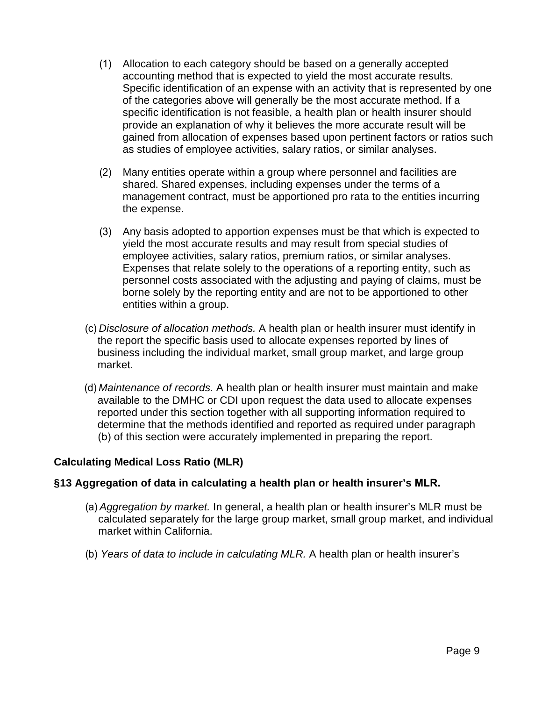- specific identification is not feasible, a health plan or health insurer should (1) Allocation to each category should be based on a generally accepted accounting method that is expected to yield the most accurate results. Specific identification of an expense with an activity that is represented by one of the categories above will generally be the most accurate method. If a provide an explanation of why it believes the more accurate result will be gained from allocation of expenses based upon pertinent factors or ratios such as studies of employee activities, salary ratios, or similar analyses.
- (2) Many entities operate within a group where personnel and facilities are shared. Shared expenses, including expenses under the terms of a management contract, must be apportioned pro rata to the entities incurring the expense.
- (3) Any basis adopted to apportion expenses must be that which is expected to yield the most accurate results and may result from special studies of employee activities, salary ratios, premium ratios, or similar analyses. Expenses that relate solely to the operations of a reporting entity, such as personnel costs associated with the adjusting and paying of claims, must be borne solely by the reporting entity and are not to be apportioned to other entities within a group.
- (c) *Disclosure of allocation methods.* A health plan or health insurer must identify in the report the specific basis used to allocate expenses reported by lines of business including the individual market, small group market, and large group market.
- (d) *Maintenance of records.* A health plan or health insurer must maintain and make available to the DMHC or CDI upon request the data used to allocate expenses reported under this section together with all supporting information required to determine that the methods identified and reported as required under paragraph (b) of this section were accurately implemented in preparing the report.

# **Calculating Medical Loss Ratio (MLR)**

# **§13 Aggregation of data in calculating a health plan or health insurer's MLR.**

- (a) *Aggregation by market.* In general, a health plan or health insurer's MLR must be calculated separately for the large group market, small group market, and individual market within California.
- (b) *Years of data to include in calculating MLR.* A health plan or health insurer's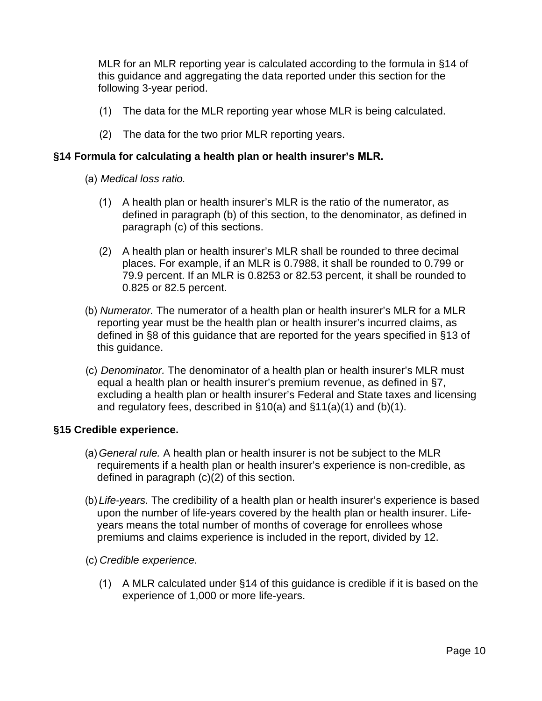MLR for an MLR reporting year is calculated according to the formula in §14 of this guidance and aggregating the data reported under this section for the following 3-year period.

- (1) The data for the MLR reporting year whose MLR is being calculated.
- (2) The data for the two prior MLR reporting years.

# **§14 Formula for calculating a health plan or health insurer's MLR.**

- (a) *Medical loss ratio.* 
	- (1) A health plan or health insurer's MLR is the ratio of the numerator, as defined in paragraph (b) of this section, to the denominator, as defined in paragraph (c) of this sections.
	- (2) A health plan or health insurer's MLR shall be rounded to three decimal places. For example, if an MLR is 0.7988, it shall be rounded to 0.799 or 79.9 percent. If an MLR is 0.8253 or 82.53 percent, it shall be rounded to 0.825 or 82.5 percent.
- (b) *Numerator.* The numerator of a health plan or health insurer's MLR for a MLR reporting year must be the health plan or health insurer's incurred claims, as defined in §8 of this guidance that are reported for the years specified in §13 of this guidance.
- (c) *Denominator.* The denominator of a health plan or health insurer's MLR must equal a health plan or health insurer's premium revenue, as defined in §7, excluding a health plan or health insurer's Federal and State taxes and licensing and regulatory fees, described in §10(a) and §11(a)(1) and (b)(1).

#### **§15 Credible experience.**

- (a) *General rule.* A health plan or health insurer is not be subject to the MLR requirements if a health plan or health insurer's experience is non-credible, as defined in paragraph (c)(2) of this section.
- (b) *Life-years.* The credibility of a health plan or health insurer's experience is based upon the number of life-years covered by the health plan or health insurer. Lifeyears means the total number of months of coverage for enrollees whose premiums and claims experience is included in the report, divided by 12.
- (c) *Credible experience.* 
	- (1) A MLR calculated under §14 of this guidance is credible if it is based on the experience of 1,000 or more life-years.